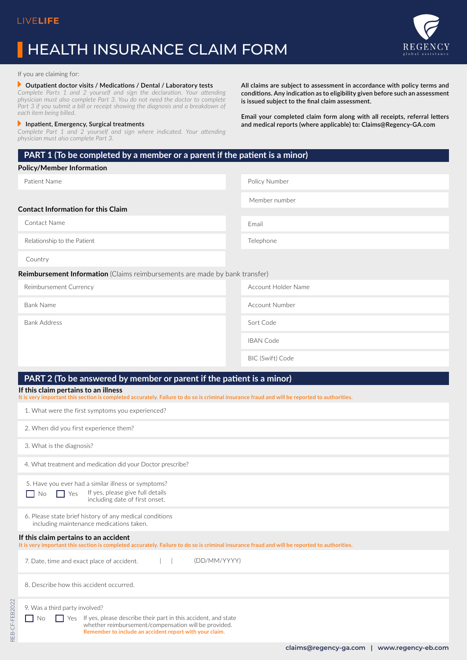# HEALTH INSURANCE CLAIM FORM



**All claims are subject to assessment in accordance with policy terms and conditions. Any indication as to eligibility given before such an assessment** 

**Email your completed claim form along with all receipts, referral letters and medical reports (where applicable) to: Claims@Regency-GA.com**

**is issued subject to the final claim assessment.** 

#### If you are claiming for:

#### **CALACTERT** Outpatient doctor visits / Medications / Dental / Laboratory tests

*Complete Parts 1 and 2 yourself and sign the declaration. Your attending physician must also complete Part 3. You do not need the doctor to complete*  Part 3 if you submit a bill or receipt showing the diagnosis and a breakdown of *each item being billed.*

### **P** Inpatient, Emergency, Surgical treatments

*Complete Part 1 and 2 yourself and sign where indicated. Your attending physician must also complete Part 3.*

**PART 1 (To be completed by a member or a parent if the patient is a minor)**

#### **Policy/Member Information**

Patient Name

Policy Number Member number

Telephone

Email

**Contact Information for this Claim**

Contact Name

Relationship to the Patient

Country

REB-CF-FEB2022

REB-CF-FEB2022

**Reimbursement Information** (Claims reimbursements are made by bank transfer)

| Reimbursement Currency | Account Holder Name   |
|------------------------|-----------------------|
| <b>Bank Name</b>       | <b>Account Number</b> |
| <b>Bank Address</b>    | Sort Code             |
|                        | <b>IBAN Code</b>      |
|                        | BIC (Swift) Code      |

# **PART 2 (To be answered by member or parent if the patient is a minor)**

## **If this claim pertains to an illness**

**It is very important this section is completed accurately. Failure to do so is criminal insurance fraud and will be reported to authorities.**

| 1. What were the first symptoms you experienced?                                                                                                                                                                                        |  |  |
|-----------------------------------------------------------------------------------------------------------------------------------------------------------------------------------------------------------------------------------------|--|--|
| 2. When did you first experience them?                                                                                                                                                                                                  |  |  |
| 3. What is the diagnosis?                                                                                                                                                                                                               |  |  |
| 4. What treatment and medication did your Doctor prescribe?                                                                                                                                                                             |  |  |
| 5. Have you ever had a similar illness or symptoms?<br>If yes, please give full details<br>$\vert$   Yes<br>No.<br>including date of first onset.                                                                                       |  |  |
| 6. Please state brief history of any medical conditions<br>including maintenance medications taken.                                                                                                                                     |  |  |
| If this claim pertains to an accident<br>It is very important this section is completed accurately. Failure to do so is criminal insurance fraud and will be reported to authorities.                                                   |  |  |
| (DD/MM/YYYY)<br>7. Date, time and exact place of accident.                                                                                                                                                                              |  |  |
| 8. Describe how this accident occurred.                                                                                                                                                                                                 |  |  |
| 9. Was a third party involved?<br>If yes, please describe their part in this accident, and state<br>Yes<br><b>No</b><br>whether reimbursement/compensation will be provided.<br>Remember to include an accident report with your claim. |  |  |